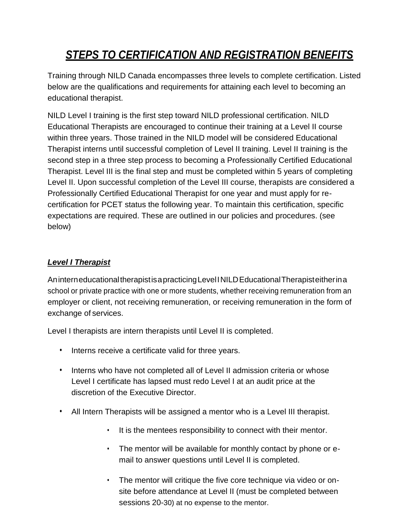# *STEPS TO CERTIFICATION AND REGISTRATION BENEFITS*

Training through NILD Canada encompasses three levels to complete certification. Listed below are the qualifications and requirements for attaining each level to becoming an educational therapist.

NILD Level I training is the first step toward NILD professional certification. NILD Educational Therapists are encouraged to continue their training at a Level II course within three years. Those trained in the NILD model will be considered Educational Therapist interns until successful completion of Level II training. Level II training is the second step in a three step process to becoming a Professionally Certified Educational Therapist. Level III is the final step and must be completed within 5 years of completing Level II. Upon successful completion of the Level III course, therapists are considered a Professionally Certified Educational Therapist for one year and must apply for recertification for PCET status the following year. To maintain this certification, specific expectations are required. These are outlined in our policies and procedures. (see below)

# *Level I Therapist*

AninterneducationaltherapistisapracticingLevelINILDEducationalTherapisteitherina school or private practice with one or more students, whether receiving remuneration from an employer or client, not receiving remuneration, or receiving remuneration in the form of exchange of services.

Level I therapists are intern therapists until Level II is completed.

- Interns receive a certificate valid for three years.
- Interns who have not completed all of Level II admission criteria or whose Level I certificate has lapsed must redo Level I at an audit price at the discretion of the Executive Director.
- All Intern Therapists will be assigned a mentor who is a Level III therapist.
	- It is the mentees responsibility to connect with their mentor.
	- The mentor will be available for monthly contact by phone or email to answer questions until Level II is completed.
	- The mentor will critique the five core technique via video or onsite before attendance at Level II (must be completed between sessions 20-30) at no expense to the mentor.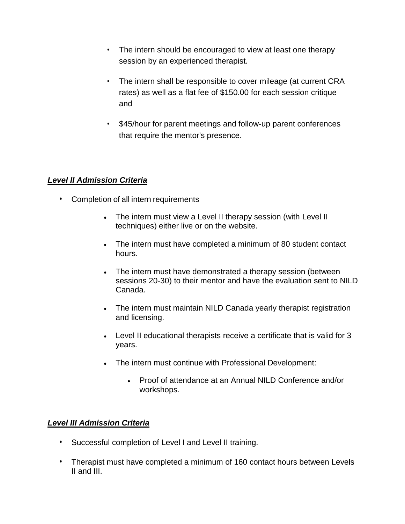- The intern should be encouraged to view at least one therapy session by an experienced therapist.
- The intern shall be responsible to cover mileage (at current CRA rates) as well as a flat fee of \$150.00 for each session critique and
- \$45/hour for parent meetings and follow-up parent conferences that require the mentor's presence.

#### *Level II Admission Criteria*

- Completion of all intern requirements
	- The intern must view a Level II therapy session (with Level II techniques) either live or on the website.
	- The intern must have completed a minimum of 80 student contact hours.
	- The intern must have demonstrated a therapy session (between sessions 20-30) to their mentor and have the evaluation sent to NILD Canada.
	- The intern must maintain NILD Canada yearly therapist registration and licensing.
	- Level II educational therapists receive a certificate that is valid for 3 years.
	- The intern must continue with Professional Development:
		- Proof of attendance at an Annual NILD Conference and/or workshops.

## *Level III Admission Criteria*

- Successful completion of Level I and Level II training.
- Therapist must have completed a minimum of 160 contact hours between Levels II and III.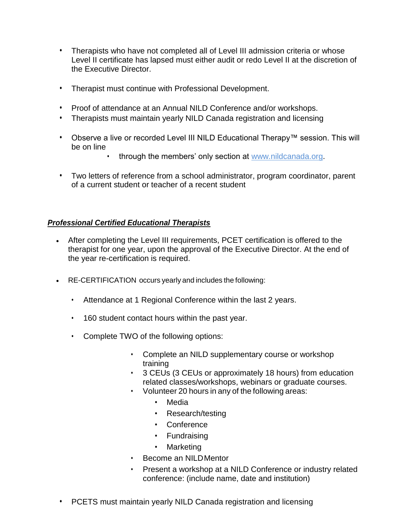- Therapists who have not completed all of Level III admission criteria or whose Level II certificate has lapsed must either audit or redo Level II at the discretion of the Executive Director.
- Therapist must continue with Professional Development.
- Proof of attendance at an Annual NILD Conference and/or workshops.
- Therapists must maintain yearly NILD Canada registration and licensing
- Observe a live or recorded Level III NILD Educational Therapy™ session. This will be on line
	- through the members' only section at [www.nildcanada.org.](http://www.nildcanada.org/)
- Two letters of reference from a school administrator, program coordinator, parent of a current student or teacher of a recent student

#### *Professional Certified Educational Therapists*

- After completing the Level III requirements, PCET certification is offered to the therapist for one year, upon the approval of the Executive Director. At the end of the year re-certification is required.
- RE-CERTIFICATION occurs yearly and includes the following:
	- Attendance at 1 Regional Conference within the last 2 years.
	- 160 student contact hours within the past year.
	- Complete TWO of the following options:
		- Complete an NILD supplementary course or workshop training
		- 3 CEUs (3 CEUs or approximately 18 hours) from education related classes/workshops, webinars or graduate courses.
		- Volunteer 20 hours in any of the following areas:
			- Media
			- Research/testing
			- Conference
			- Fundraising
			- Marketing
		- Become an NILDMentor
		- Present a workshop at a NILD Conference or industry related conference: (include name, date and institution)
	- PCETS must maintain yearly NILD Canada registration and licensing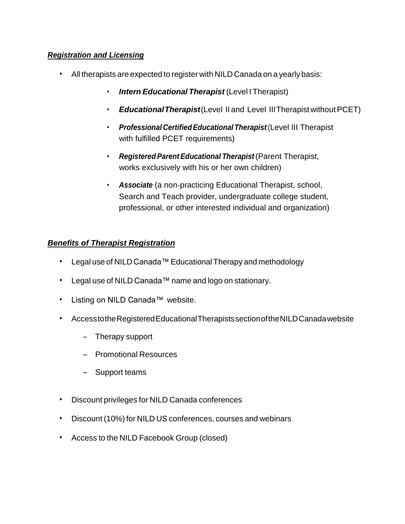## *Registration and Licensing*

- All therapists are expected to register with NILD Canada on a yearly basis:
	- *Intern Educational Therapist* (Level I Therapist)
	- *EducationalTherapist*(Level II and Level IIITherapist withoutPCET)
	- *Professional CertifiedEducationalTherapist* (Level III Therapist with fulfilled PCET requirements)
	- *Registered Parent Educational Therapist* (Parent Therapist, works exclusively with his or her own children)
	- *Associate* (a non-practicing Educational Therapist, school, Search and Teach provider, undergraduate college student, professional, or other interested individual and organization)

# *Benefits of Therapist Registration*

- Legal use of NILD Canada™ Educational Therapy and methodology
- Legal use of NILD Canada™ name and logo on stationary.
- Listing on NILD Canada™ website.
- AccesstotheRegisteredEducationalTherapistssectionoftheNILDCanadawebsite
	- Therapy support
	- Promotional Resources
	- Support teams
- Discount privileges for NILD Canada conferences
- Discount (10%) for NILD US conferences, courses and webinars
- Access to the NILD Facebook Group (closed)